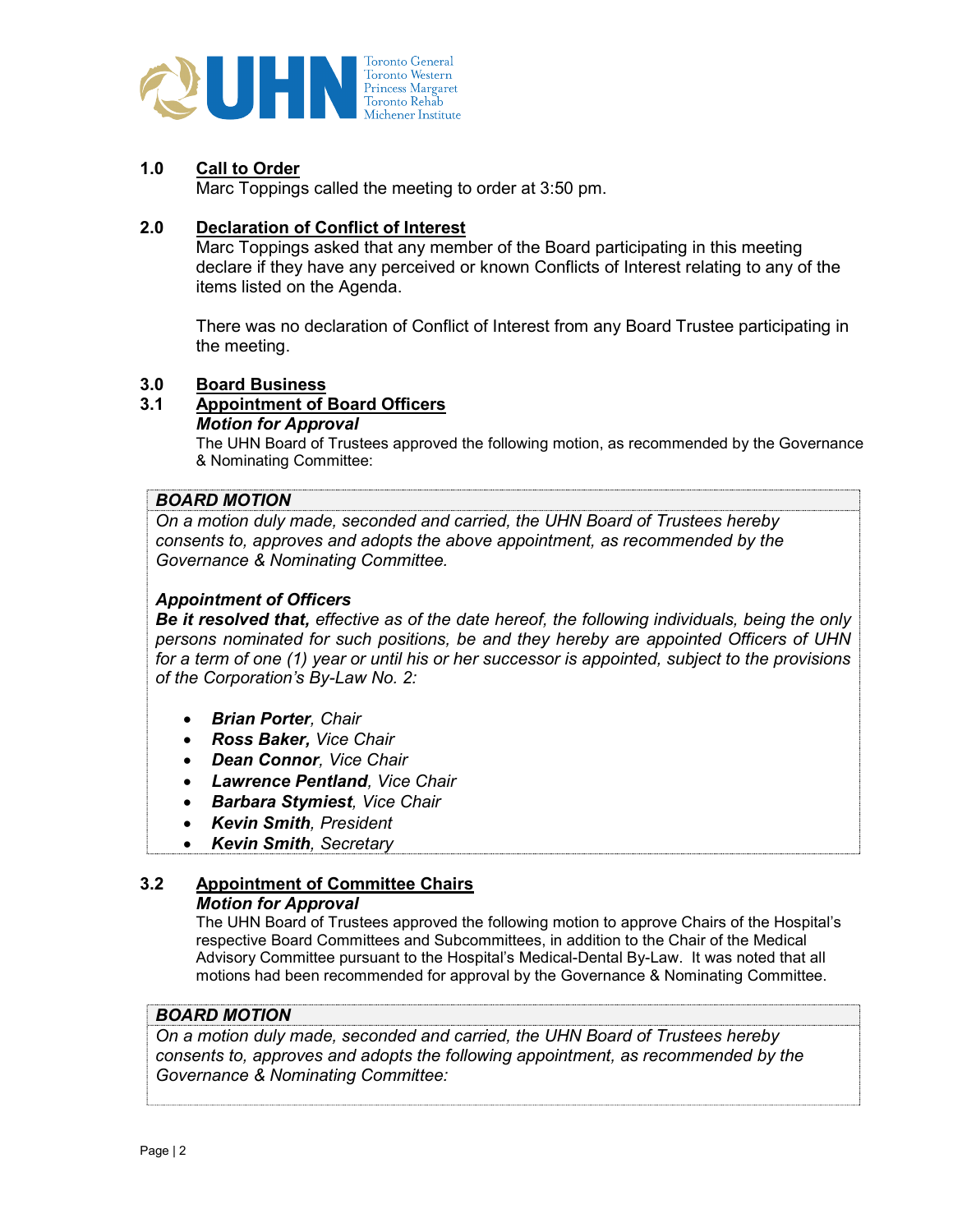

# 1.0 Call to Order

Marc Toppings called the meeting to order at 3:50 pm.

## 2.0 Declaration of Conflict of Interest

Marc Toppings asked that any member of the Board participating in this meeting declare if they have any perceived or known Conflicts of Interest relating to any of the items listed on the Agenda.

There was no declaration of Conflict of Interest from any Board Trustee participating in the meeting.

## 3.0 Board Business

## 3.1 Appointment of Board Officers

Motion for Approval

The UHN Board of Trustees approved the following motion, as recommended by the Governance & Nominating Committee:

#### BOARD MOTION

On a motion duly made, seconded and carried, the UHN Board of Trustees hereby consents to, approves and adopts the above appointment, as recommended by the Governance & Nominating Committee.

#### Appointment of Officers

Be it resolved that, effective as of the date hereof, the following individuals, being the only persons nominated for such positions, be and they hereby are appointed Officers of UHN for a term of one (1) year or until his or her successor is appointed, subject to the provisions of the Corporation's By-Law No. 2:

- Brian Porter, Chair
- Ross Baker, Vice Chair
- Dean Connor, Vice Chair
- Lawrence Pentland, Vice Chair
- Barbara Stymiest, Vice Chair
- Kevin Smith, President
- Kevin Smith, Secretary

## 3.2 Appointment of Committee Chairs Motion for Approval

The UHN Board of Trustees approved the following motion to approve Chairs of the Hospital's respective Board Committees and Subcommittees, in addition to the Chair of the Medical Advisory Committee pursuant to the Hospital's Medical-Dental By-Law. It was noted that all motions had been recommended for approval by the Governance & Nominating Committee.

#### BOARD MOTION

On a motion duly made, seconded and carried, the UHN Board of Trustees hereby consents to, approves and adopts the following appointment, as recommended by the Governance & Nominating Committee: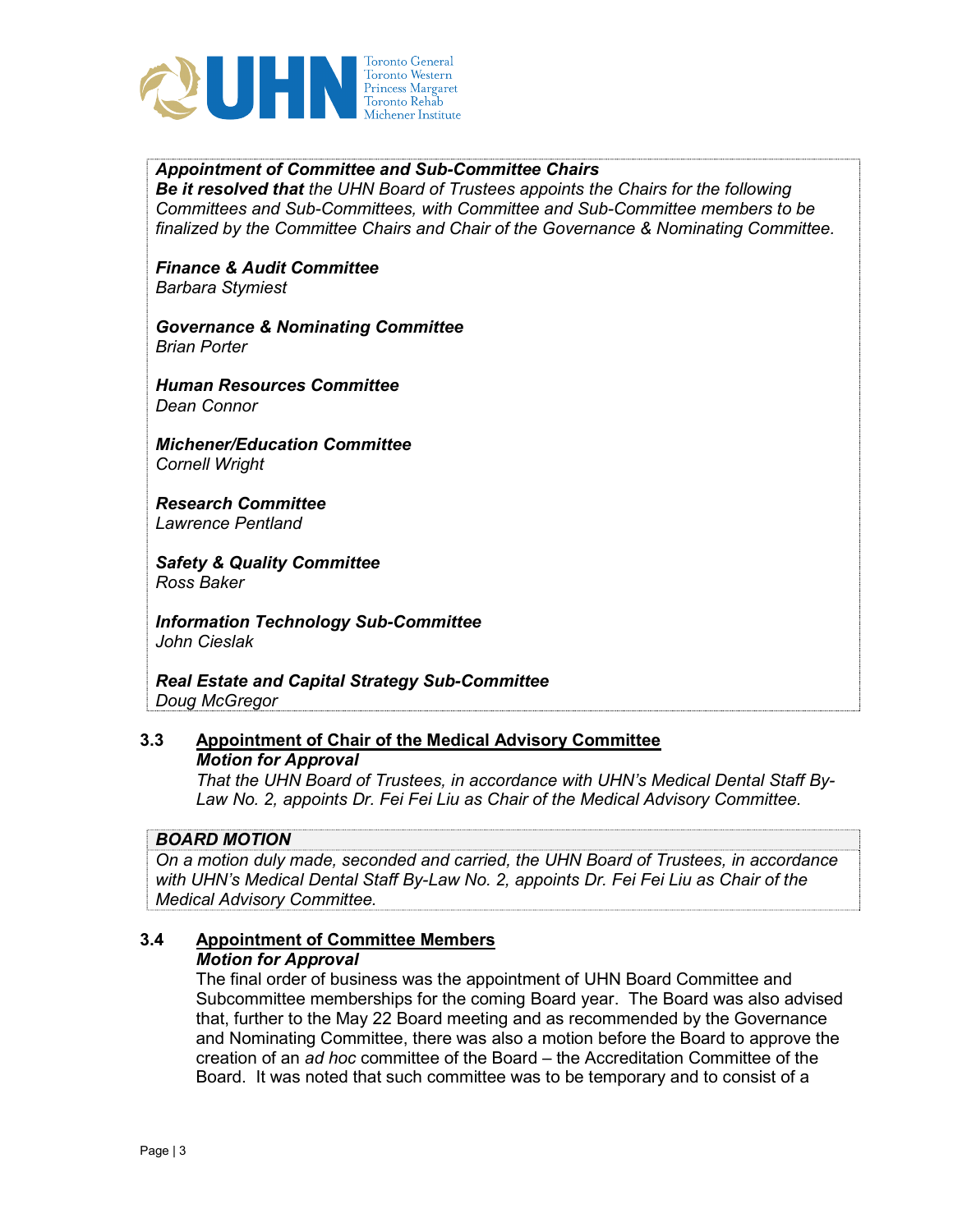

## Appointment of Committee and Sub-Committee Chairs

Be it resolved that the UHN Board of Trustees appoints the Chairs for the following Committees and Sub-Committees, with Committee and Sub-Committee members to be finalized by the Committee Chairs and Chair of the Governance & Nominating Committee.

Finance & Audit Committee Barbara Stymiest

Governance & Nominating Committee Brian Porter

Human Resources Committee Dean Connor

Michener/Education Committee Cornell Wright

Research Committee Lawrence Pentland

Safety & Quality Committee Ross Baker

Information Technology Sub-Committee John Cieslak

Real Estate and Capital Strategy Sub-Committee Doug McGregor

#### 3.3 Appointment of Chair of the Medical Advisory Committee Motion for Approval

That the UHN Board of Trustees, in accordance with UHN's Medical Dental Staff By-Law No. 2, appoints Dr. Fei Fei Liu as Chair of the Medical Advisory Committee.

## BOARD MOTION

On a motion duly made, seconded and carried, the UHN Board of Trustees, in accordance with UHN's Medical Dental Staff By-Law No. 2, appoints Dr. Fei Fei Liu as Chair of the Medical Advisory Committee.

#### 3.4 Appointment of Committee Members Motion for Approval

The final order of business was the appointment of UHN Board Committee and Subcommittee memberships for the coming Board year. The Board was also advised that, further to the May 22 Board meeting and as recommended by the Governance and Nominating Committee, there was also a motion before the Board to approve the creation of an ad hoc committee of the Board – the Accreditation Committee of the Board. It was noted that such committee was to be temporary and to consist of a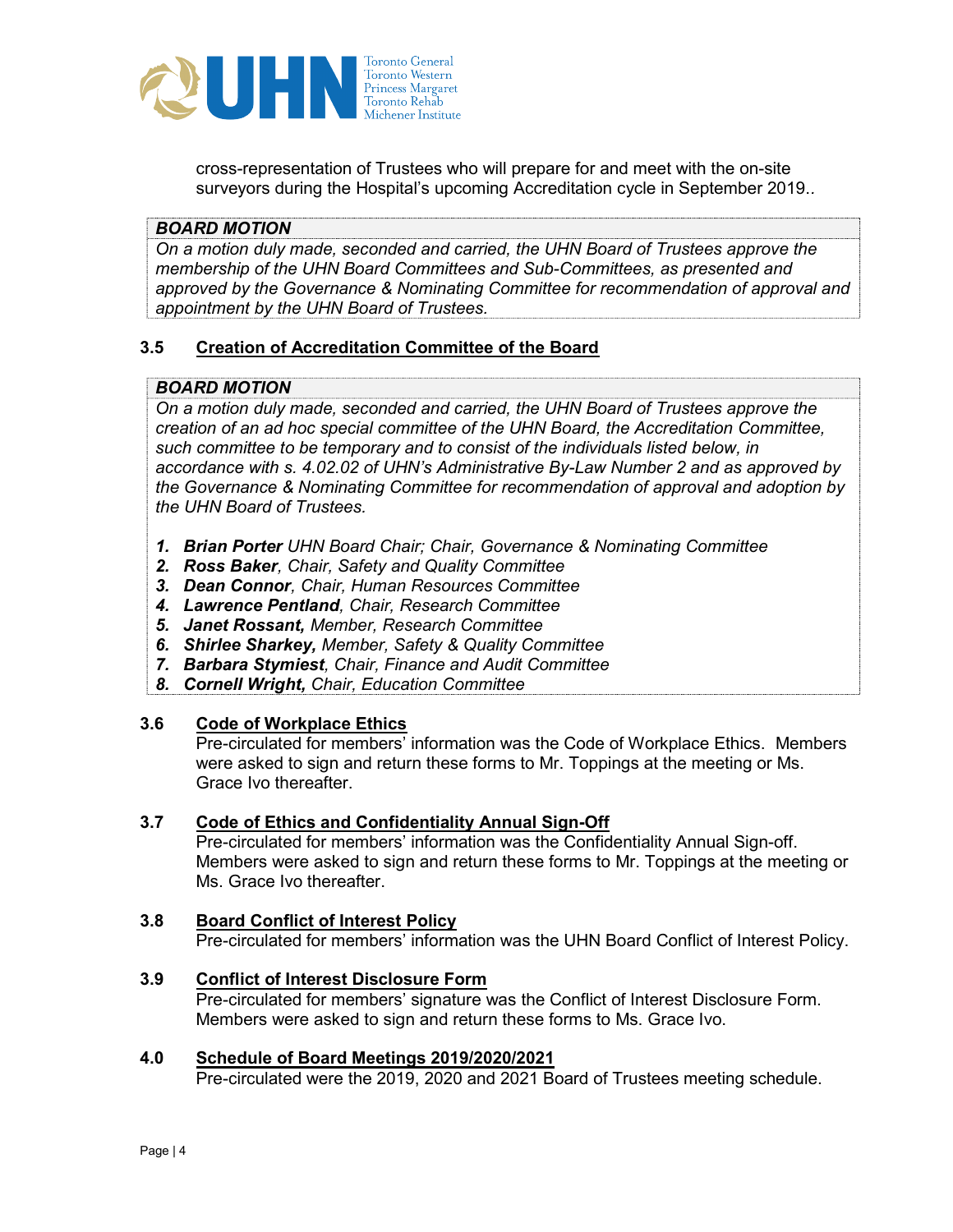

cross-representation of Trustees who will prepare for and meet with the on-site surveyors during the Hospital's upcoming Accreditation cycle in September 2019..

## BOARD MOTION

On a motion duly made, seconded and carried, the UHN Board of Trustees approve the membership of the UHN Board Committees and Sub-Committees, as presented and approved by the Governance & Nominating Committee for recommendation of approval and appointment by the UHN Board of Trustees.

# 3.5 Creation of Accreditation Committee of the Board

## BOARD MOTION

On a motion duly made, seconded and carried, the UHN Board of Trustees approve the creation of an ad hoc special committee of the UHN Board, the Accreditation Committee, such committee to be temporary and to consist of the individuals listed below, in accordance with s. 4.02.02 of UHN's Administrative By-Law Number 2 and as approved by the Governance & Nominating Committee for recommendation of approval and adoption by the UHN Board of Trustees.

- 1. Brian Porter UHN Board Chair; Chair, Governance & Nominating Committee
- 2. Ross Baker, Chair, Safety and Quality Committee
- 3. Dean Connor, Chair, Human Resources Committee
- 4. Lawrence Pentland, Chair, Research Committee
- 5. Janet Rossant, Member, Research Committee
- 6. Shirlee Sharkey, Member, Safety & Quality Committee
- 7. Barbara Stymiest, Chair, Finance and Audit Committee
- 8. Cornell Wright, Chair, Education Committee

# 3.6 Code of Workplace Ethics

Pre-circulated for members' information was the Code of Workplace Ethics. Members were asked to sign and return these forms to Mr. Toppings at the meeting or Ms. Grace Ivo thereafter.

## 3.7 Code of Ethics and Confidentiality Annual Sign-Off

Pre-circulated for members' information was the Confidentiality Annual Sign-off. Members were asked to sign and return these forms to Mr. Toppings at the meeting or Ms. Grace Ivo thereafter.

# 3.8 Board Conflict of Interest Policy

Pre-circulated for members' information was the UHN Board Conflict of Interest Policy.

## 3.9 Conflict of Interest Disclosure Form

Pre-circulated for members' signature was the Conflict of Interest Disclosure Form. Members were asked to sign and return these forms to Ms. Grace Ivo.

## 4.0 Schedule of Board Meetings 2019/2020/2021

Pre-circulated were the 2019, 2020 and 2021 Board of Trustees meeting schedule.